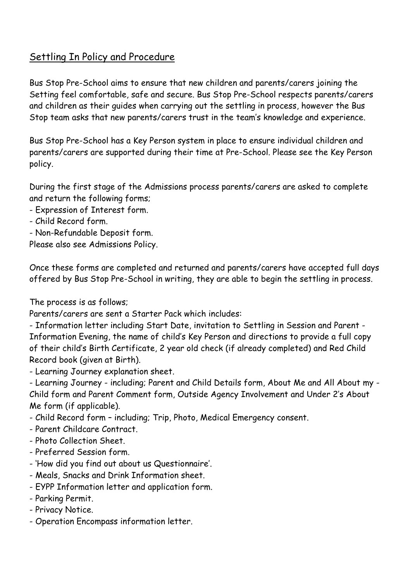# Settling In Policy and Procedure

Bus Stop Pre-School aims to ensure that new children and parents/carers joining the Setting feel comfortable, safe and secure. Bus Stop Pre-School respects parents/carers and children as their guides when carrying out the settling in process, however the Bus Stop team asks that new parents/carers trust in the team's knowledge and experience.

Bus Stop Pre-School has a Key Person system in place to ensure individual children and parents/carers are supported during their time at Pre-School. Please see the Key Person policy.

During the first stage of the Admissions process parents/carers are asked to complete and return the following forms;

- Expression of Interest form.
- Child Record form.
- Non-Refundable Deposit form.

Please also see Admissions Policy.

Once these forms are completed and returned and parents/carers have accepted full days offered by Bus Stop Pre-School in writing, they are able to begin the settling in process.

The process is as follows;

Parents/carers are sent a Starter Pack which includes:

- Information letter including Start Date, invitation to Settling in Session and Parent - Information Evening, the name of child's Key Person and directions to provide a full copy of their child's Birth Certificate, 2 year old check (if already completed) and Red Child Record book (given at Birth).

- Learning Journey explanation sheet.

- Learning Journey - including; Parent and Child Details form, About Me and All About my - Child form and Parent Comment form, Outside Agency Involvement and Under 2's About Me form (if applicable).

- Child Record form including; Trip, Photo, Medical Emergency consent.
- Parent Childcare Contract.
- Photo Collection Sheet.
- Preferred Session form.
- 'How did you find out about us Questionnaire'.
- Meals, Snacks and Drink Information sheet.
- EYPP Information letter and application form.
- Parking Permit.
- Privacy Notice.
- Operation Encompass information letter.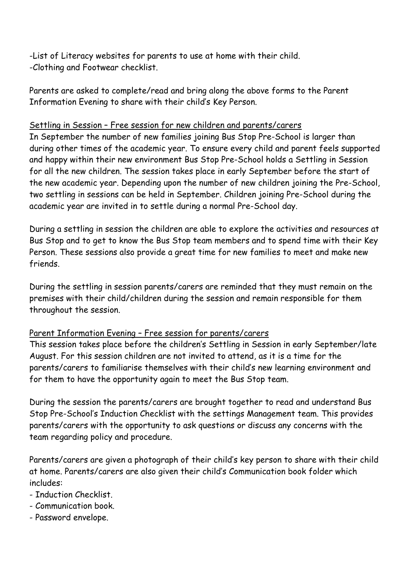-List of Literacy websites for parents to use at home with their child. -Clothing and Footwear checklist.

Parents are asked to complete/read and bring along the above forms to the Parent Information Evening to share with their child's Key Person.

# Settling in Session – Free session for new children and parents/carers

In September the number of new families joining Bus Stop Pre-School is larger than during other times of the academic year. To ensure every child and parent feels supported and happy within their new environment Bus Stop Pre-School holds a Settling in Session for all the new children. The session takes place in early September before the start of the new academic year. Depending upon the number of new children joining the Pre-School, two settling in sessions can be held in September. Children joining Pre-School during the academic year are invited in to settle during a normal Pre-School day.

During a settling in session the children are able to explore the activities and resources at Bus Stop and to get to know the Bus Stop team members and to spend time with their Key Person. These sessions also provide a great time for new families to meet and make new friends.

During the settling in session parents/carers are reminded that they must remain on the premises with their child/children during the session and remain responsible for them throughout the session.

# Parent Information Evening – Free session for parents/carers

This session takes place before the children's Settling in Session in early September/late August. For this session children are not invited to attend, as it is a time for the parents/carers to familiarise themselves with their child's new learning environment and for them to have the opportunity again to meet the Bus Stop team.

During the session the parents/carers are brought together to read and understand Bus Stop Pre-School's Induction Checklist with the settings Management team. This provides parents/carers with the opportunity to ask questions or discuss any concerns with the team regarding policy and procedure.

Parents/carers are given a photograph of their child's key person to share with their child at home. Parents/carers are also given their child's Communication book folder which includes:

- Induction Checklist.
- Communication book.
- Password envelope.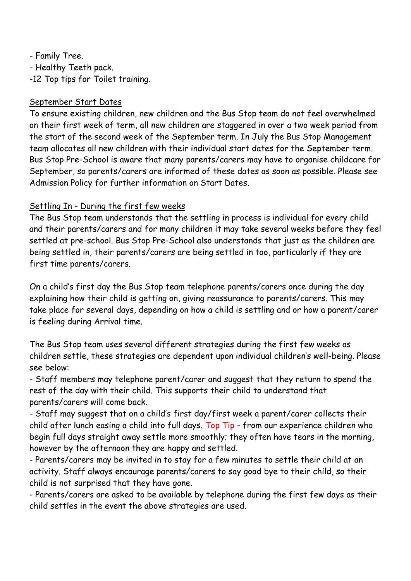- Family Tree. - Healthy Teeth pack. -12 Top tips for Toilet training.

#### September Start Dates

To ensure existing children, new children and the Bus Stop team do not feel overwhelmed on their first week of term, all new children are staggered in over a two week period from the start of the second week of the September term. In July the Bus Stop Management team allocates all new children with their individual start dates for the September term. Bus Stop Pre-School is aware that many parents/carers may have to organise childcare for September, so parents/carers are informed of these dates as soon as possible. Please see Admission Policy for further information on Start Dates.

# Settling In - During the first few weeks

The Bus Stop team understands that the settling in process is individual for every child and their parents/carers and for many children it may take several weeks before they feel settled at pre-school. Bus Stop Pre-School also understands that just as the children are being settled in, their parents/carers are being settled in too, particularly if they are first time parents/carers.

On a child's first day the Bus Stop team telephone parents/carers once during the day explaining how their child is getting on, giving reassurance to parents/carers. This may take place for several days, depending on how a child is settling and or how a parent/carer is feeling during Arrival time.

The Bus Stop team uses several different strategies during the first few weeks as children settle, these strategies are dependent upon individual children's well-being. Please see below:

- Staff members may telephone parent/carer and suggest that they return to spend the rest of the day with their child. This supports their child to understand that parents/carers will come back.

- Staff may suggest that on a child's first day/first week a parent/carer collects their child after lunch easing a child into full days. Top Tip - from our experience children who begin full days straight away settle more smoothly; they often have tears in the morning, however by the afternoon they are happy and settled.

- Parents/carers may be invited in to stay for a few minutes to settle their child at an activity. Staff always encourage parents/carers to say good bye to their child, so their child is not surprised that they have gone.

- Parents/carers are asked to be available by telephone during the first few days as their child settles in the event the above strategies are used.